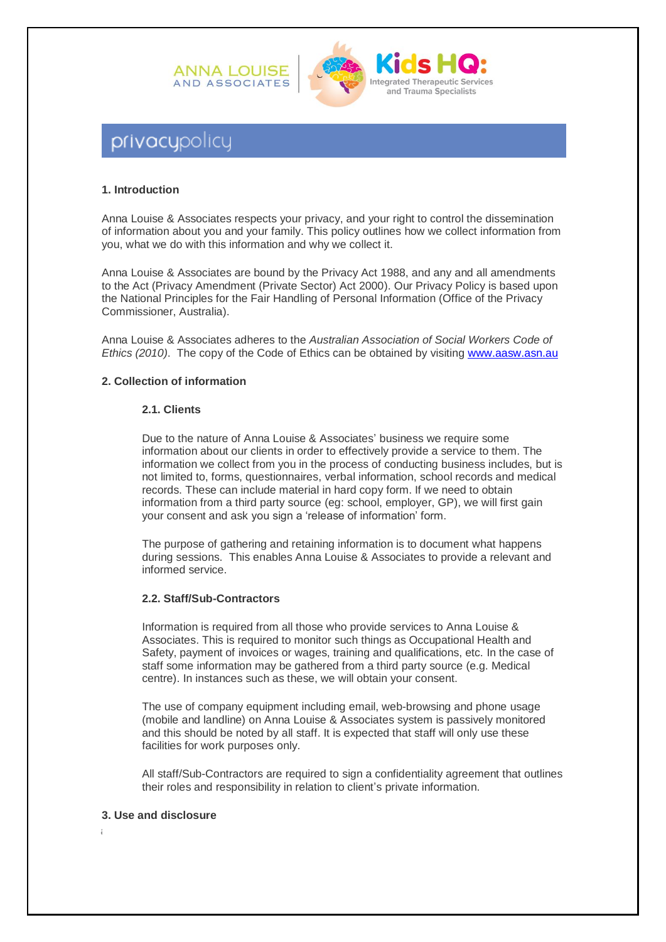



# privacypolicy

## **1. Introduction**

Anna Louise & Associates respects your privacy, and your right to control the dissemination of information about you and your family. This policy outlines how we collect information from you, what we do with this information and why we collect it.

Anna Louise & Associates are bound by the Privacy Act 1988, and any and all amendments to the Act (Privacy Amendment (Private Sector) Act 2000). Our Privacy Policy is based upon the National Principles for the Fair Handling of Personal Information (Office of the Privacy Commissioner, Australia).

Anna Louise & Associates adheres to the *Australian Association of Social Workers Code of Ethics (2010)*. The copy of the Code of Ethics can be obtained by visiting [www.aasw.asn.au](http://www.aasw.asn.au/)

## **2. Collection of information**

#### **2.1. Clients**

Due to the nature of Anna Louise & Associates' business we require some information about our clients in order to effectively provide a service to them. The information we collect from you in the process of conducting business includes, but is not limited to, forms, questionnaires, verbal information, school records and medical records. These can include material in hard copy form. If we need to obtain information from a third party source (eg: school, employer, GP), we will first gain your consent and ask you sign a 'release of information' form.

The purpose of gathering and retaining information is to document what happens during sessions. This enables Anna Louise & Associates to provide a relevant and informed service.

## **2.2. Staff/Sub-Contractors**

Information is required from all those who provide services to Anna Louise & Associates. This is required to monitor such things as Occupational Health and Safety, payment of invoices or wages, training and qualifications, etc. In the case of staff some information may be gathered from a third party source (e.g. Medical centre). In instances such as these, we will obtain your consent.

The use of company equipment including email, web-browsing and phone usage (mobile and landline) on Anna Louise & Associates system is passively monitored and this should be noted by all staff. It is expected that staff will only use these facilities for work purposes only.

All staff/Sub-Contractors are required to sign a confidentiality agreement that outlines their roles and responsibility in relation to client's private information.

## **3. Use and disclosure**

**a**